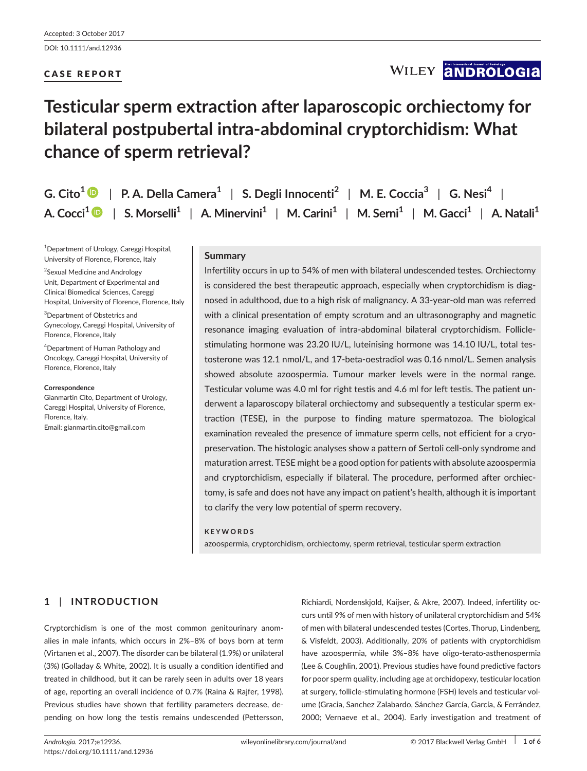DOI: 10.1111/and.12936

# CASE REPORT

# WILEY **ANDROLOGIA**

# **Testicular sperm extraction after laparoscopic orchiectomy for bilateral postpubertal intra-abdominal cryptorchidism: What chance of sperm retrieval?**

| G. Cito <sup>1</sup> $\bullet$   P. A. Della Camera <sup>1</sup>   S. Degli Innocenti <sup>2</sup>   M. E. Coccia <sup>3</sup>   G. Nesi <sup>4</sup>                          |
|--------------------------------------------------------------------------------------------------------------------------------------------------------------------------------|
| A. Cocci <sup>1</sup> • S. Morselli <sup>1</sup>   A. Minervini <sup>1</sup>   M. Carini <sup>1</sup>   M. Serni <sup>1</sup>   M. Gacci <sup>1</sup>   A. Natali <sup>1</sup> |

1 Department of Urology, Careggi Hospital, University of Florence, Florence, Italy

<sup>2</sup>Sexual Medicine and Andrology Unit, Department of Experimental and Clinical Biomedical Sciences, Careggi Hospital, University of Florence, Florence, Italy

3 Department of Obstetrics and Gynecology, Careggi Hospital, University of Florence, Florence, Italy

4 Department of Human Pathology and Oncology, Careggi Hospital, University of Florence, Florence, Italy

#### **Correspondence**

Gianmartin Cito, Department of Urology, Careggi Hospital, University of Florence, Florence, Italy. Email: [gianmartin.cito@gmail.com](mailto:gianmartin.cito@gmail.com)

### **Summary**

Infertility occurs in up to 54% of men with bilateral undescended testes. Orchiectomy is considered the best therapeutic approach, especially when cryptorchidism is diagnosed in adulthood, due to a high risk of malignancy. A 33-year-old man was referred with a clinical presentation of empty scrotum and an ultrasonography and magnetic resonance imaging evaluation of intra-abdominal bilateral cryptorchidism. Folliclestimulating hormone was 23.20 IU/L, luteinising hormone was 14.10 IU/L, total testosterone was 12.1 nmol/L, and 17-beta-oestradiol was 0.16 nmol/L. Semen analysis showed absolute azoospermia. Tumour marker levels were in the normal range. Testicular volume was 4.0 ml for right testis and 4.6 ml for left testis. The patient underwent a laparoscopy bilateral orchiectomy and subsequently a testicular sperm extraction (TESE), in the purpose to finding mature spermatozoa. The biological examination revealed the presence of immature sperm cells, not efficient for a cryopreservation. The histologic analyses show a pattern of Sertoli cell-only syndrome and maturation arrest. TESE might be a good option for patients with absolute azoospermia and cryptorchidism, especially if bilateral. The procedure, performed after orchiectomy, is safe and does not have any impact on patient's health, although it is important to clarify the very low potential of sperm recovery.

#### **KEYWORDS**

azoospermia, cryptorchidism, orchiectomy, sperm retrieval, testicular sperm extraction

# **1** | **INTRODUCTION**

Cryptorchidism is one of the most common genitourinary anomalies in male infants, which occurs in 2%–8% of boys born at term (Virtanen et al., 2007). The disorder can be bilateral (1.9%) or unilateral (3%) (Golladay & White, 2002). It is usually a condition identified and treated in childhood, but it can be rarely seen in adults over 18 years of age, reporting an overall incidence of 0.7% (Raina & Rajfer, 1998). Previous studies have shown that fertility parameters decrease, depending on how long the testis remains undescended (Pettersson, Richiardi, Nordenskjold, Kaijser, & Akre, 2007). Indeed, infertility occurs until 9% of men with history of unilateral cryptorchidism and 54% of men with bilateral undescended testes (Cortes, Thorup, Lindenberg, & Visfeldt, 2003). Additionally, 20% of patients with cryptorchidism have azoospermia, while 3%–8% have oligo-terato-asthenospermia (Lee & Coughlin, 2001). Previous studies have found predictive factors for poor sperm quality, including age at orchidopexy, testicular location at surgery, follicle-stimulating hormone (FSH) levels and testicular volume (Gracia, Sanchez Zalabardo, Sánchez García, García, & Ferrández, 2000; Vernaeve et al., 2004). Early investigation and treatment of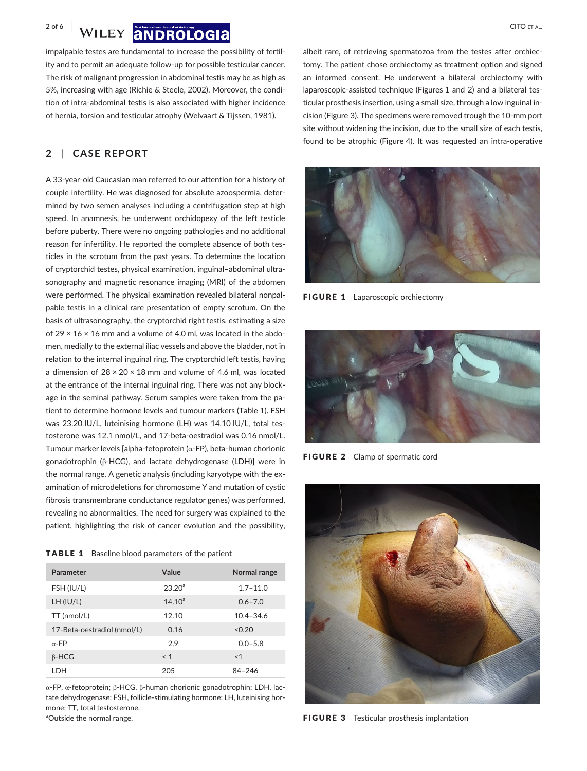**2 of 6 | WILEY |ANDROLOGIA** CITO ET AL.

impalpable testes are fundamental to increase the possibility of fertility and to permit an adequate follow-up for possible testicular cancer. The risk of malignant progression in abdominal testis may be as high as 5%, increasing with age (Richie & Steele, 2002). Moreover, the condition of intra-abdominal testis is also associated with higher incidence of hernia, torsion and testicular atrophy (Welvaart & Tijssen, 1981).

## **2** | **CASE REPORT**

A 33-year-old Caucasian man referred to our attention for a history of couple infertility. He was diagnosed for absolute azoospermia, determined by two semen analyses including a centrifugation step at high speed. In anamnesis, he underwent orchidopexy of the left testicle before puberty. There were no ongoing pathologies and no additional reason for infertility. He reported the complete absence of both testicles in the scrotum from the past years. To determine the location of cryptorchid testes, physical examination, inguinal–abdominal ultrasonography and magnetic resonance imaging (MRI) of the abdomen were performed. The physical examination revealed bilateral nonpalpable testis in a clinical rare presentation of empty scrotum. On the basis of ultrasonography, the cryptorchid right testis, estimating a size of 29  $\times$  16  $\times$  16 mm and a volume of 4.0 ml, was located in the abdomen, medially to the external iliac vessels and above the bladder, not in relation to the internal inguinal ring. The cryptorchid left testis, having a dimension of  $28 \times 20 \times 18$  mm and volume of 4.6 ml, was located at the entrance of the internal inguinal ring. There was not any blockage in the seminal pathway. Serum samples were taken from the patient to determine hormone levels and tumour markers (Table 1). FSH was 23.20 IU/L, luteinising hormone (LH) was 14.10 IU/L, total testosterone was 12.1 nmol/L, and 17-beta-oestradiol was 0.16 nmol/L. Tumour marker levels [alpha-fetoprotein (α-FP), beta-human chorionic gonadotrophin (β-HCG), and lactate dehydrogenase (LDH)] were in the normal range. A genetic analysis (including karyotype with the examination of microdeletions for chromosome Y and mutation of cystic fibrosis transmembrane conductance regulator genes) was performed, revealing no abnormalities. The need for surgery was explained to the patient, highlighting the risk of cancer evolution and the possibility,

TABLE 1 Baseline blood parameters of the patient

| Parameter                   | Value              | Normal range  |
|-----------------------------|--------------------|---------------|
| FSH (IU/L)                  | 23.20 <sup>a</sup> | $1.7 - 11.0$  |
| LH (IU/L)                   | $14.10^{a}$        | $0.6 - 7.0$   |
| TT (nmol/L)                 | 12.10              | $10.4 - 34.6$ |
| 17-Beta-oestradiol (nmol/L) | 0.16               | < 0.20        |
| $\alpha$ -FP                | 2.9                | $0.0 - 5.8$   |
| $\beta$ -HCG                | $\leq 1$           | < 1           |
| LDH                         | 205                | $84 - 246$    |

α-FP, α-fetoprotein; β-HCG, β-human chorionic gonadotrophin; LDH, lactate dehydrogenase; FSH, follicle-stimulating hormone; LH, luteinising hormone; TT, total testosterone.

<sup>a</sup>Outside the normal range.

albeit rare, of retrieving spermatozoa from the testes after orchiectomy. The patient chose orchiectomy as treatment option and signed an informed consent. He underwent a bilateral orchiectomy with laparoscopic-assisted technique (Figures 1 and 2) and a bilateral testicular prosthesis insertion, using a small size, through a low inguinal incision (Figure 3). The specimens were removed trough the 10-mm port site without widening the incision, due to the small size of each testis, found to be atrophic (Figure 4). It was requested an intra-operative



FIGURE 1 Laparoscopic orchiectomy



FIGURE 2 Clamp of spermatic cord



FIGURE 3 Testicular prosthesis implantation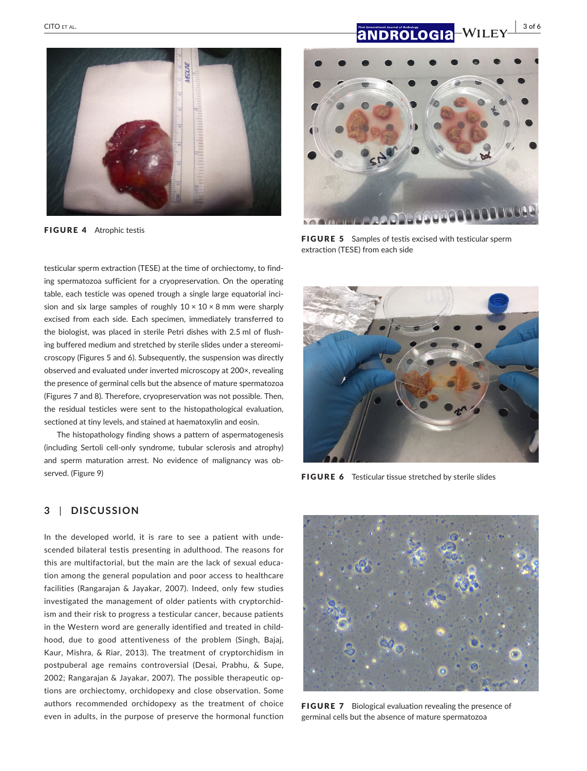# **|** CITO et al. **3 of 6**



FIGURE 4 Atrophic testis



**FIGURE 5** Samples of testis excised with testicular sperm extraction (TESE) from each side

testicular sperm extraction (TESE) at the time of orchiectomy, to finding spermatozoa sufficient for a cryopreservation. On the operating table, each testicle was opened trough a single large equatorial incision and six large samples of roughly  $10 \times 10 \times 8$  mm were sharply excised from each side. Each specimen, immediately transferred to the biologist, was placed in sterile Petri dishes with 2.5 ml of flushing buffered medium and stretched by sterile slides under a stereomicroscopy (Figures 5 and 6). Subsequently, the suspension was directly observed and evaluated under inverted microscopy at 200×, revealing the presence of germinal cells but the absence of mature spermatozoa (Figures 7 and 8). Therefore, cryopreservation was not possible. Then, the residual testicles were sent to the histopathological evaluation, sectioned at tiny levels, and stained at haematoxylin and eosin.

The histopathology finding shows a pattern of aspermatogenesis (including Sertoli cell-only syndrome, tubular sclerosis and atrophy) and sperm maturation arrest. No evidence of malignancy was observed. (Figure 9)



FIGURE 6 Testicular tissue stretched by sterile slides

### **3** | **DISCUSSION**

In the developed world, it is rare to see a patient with undescended bilateral testis presenting in adulthood. The reasons for this are multifactorial, but the main are the lack of sexual education among the general population and poor access to healthcare facilities (Rangarajan & Jayakar, 2007). Indeed, only few studies investigated the management of older patients with cryptorchidism and their risk to progress a testicular cancer, because patients in the Western word are generally identified and treated in childhood, due to good attentiveness of the problem (Singh, Bajaj, Kaur, Mishra, & Riar, 2013). The treatment of cryptorchidism in postpuberal age remains controversial (Desai, Prabhu, & Supe, 2002; Rangarajan & Jayakar, 2007). The possible therapeutic options are orchiectomy, orchidopexy and close observation. Some authors recommended orchidopexy as the treatment of choice even in adults, in the purpose of preserve the hormonal function



FIGURE 7 Biological evaluation revealing the presence of germinal cells but the absence of mature spermatozoa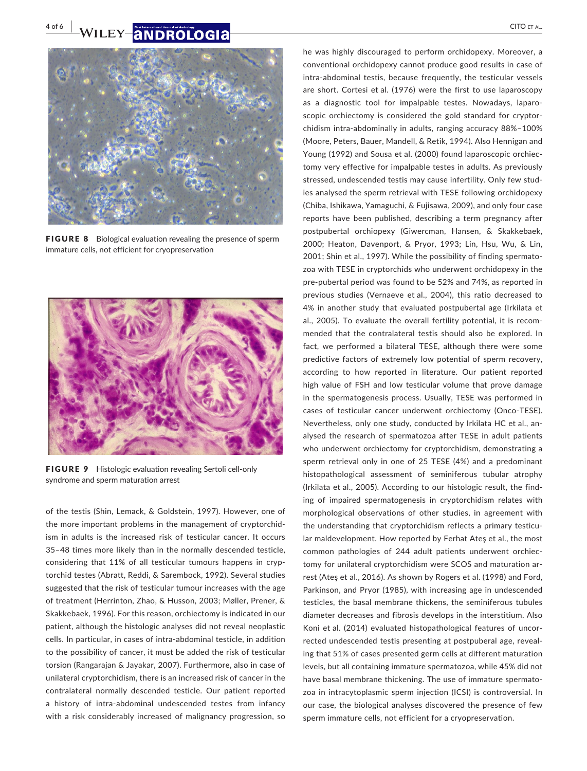# **4 of 6 | WILEY-ANDROLOGIA** CITO ET AL.



FIGURE 8 Biological evaluation revealing the presence of sperm immature cells, not efficient for cryopreservation



FIGURE 9 Histologic evaluation revealing Sertoli cell-only syndrome and sperm maturation arrest

of the testis (Shin, Lemack, & Goldstein, 1997). However, one of the more important problems in the management of cryptorchidism in adults is the increased risk of testicular cancer. It occurs 35–48 times more likely than in the normally descended testicle, considering that 11% of all testicular tumours happens in cryptorchid testes (Abratt, Reddi, & Sarembock, 1992). Several studies suggested that the risk of testicular tumour increases with the age of treatment (Herrinton, Zhao, & Husson, 2003; Møller, Prener, & Skakkebaek, 1996). For this reason, orchiectomy is indicated in our patient, although the histologic analyses did not reveal neoplastic cells. In particular, in cases of intra-abdominal testicle, in addition to the possibility of cancer, it must be added the risk of testicular torsion (Rangarajan & Jayakar, 2007). Furthermore, also in case of unilateral cryptorchidism, there is an increased risk of cancer in the contralateral normally descended testicle. Our patient reported a history of intra-abdominal undescended testes from infancy with a risk considerably increased of malignancy progression, so

he was highly discouraged to perform orchidopexy. Moreover, a conventional orchidopexy cannot produce good results in case of intra-abdominal testis, because frequently, the testicular vessels are short. Cortesi et al. (1976) were the first to use laparoscopy as a diagnostic tool for impalpable testes. Nowadays, laparoscopic orchiectomy is considered the gold standard for cryptorchidism intra-abdominally in adults, ranging accuracy 88%–100% (Moore, Peters, Bauer, Mandell, & Retik, 1994). Also Hennigan and Young (1992) and Sousa et al. (2000) found laparoscopic orchiectomy very effective for impalpable testes in adults. As previously stressed, undescended testis may cause infertility. Only few studies analysed the sperm retrieval with TESE following orchidopexy (Chiba, Ishikawa, Yamaguchi, & Fujisawa, 2009), and only four case reports have been published, describing a term pregnancy after postpubertal orchiopexy (Giwercman, Hansen, & Skakkebaek, 2000; Heaton, Davenport, & Pryor, 1993; Lin, Hsu, Wu, & Lin, 2001; Shin et al., 1997). While the possibility of finding spermatozoa with TESE in cryptorchids who underwent orchidopexy in the pre-pubertal period was found to be 52% and 74%, as reported in previous studies (Vernaeve et al., 2004), this ratio decreased to 4% in another study that evaluated postpubertal age (Irkilata et al., 2005). To evaluate the overall fertility potential, it is recommended that the contralateral testis should also be explored. In fact, we performed a bilateral TESE, although there were some predictive factors of extremely low potential of sperm recovery, according to how reported in literature. Our patient reported high value of FSH and low testicular volume that prove damage in the spermatogenesis process. Usually, TESE was performed in cases of testicular cancer underwent orchiectomy (Onco-TESE). Nevertheless, only one study, conducted by Irkilata HC et al., analysed the research of spermatozoa after TESE in adult patients who underwent orchiectomy for cryptorchidism, demonstrating a sperm retrieval only in one of 25 TESE (4%) and a predominant histopathological assessment of seminiferous tubular atrophy (Irkilata et al., 2005). According to our histologic result, the finding of impaired spermatogenesis in cryptorchidism relates with morphological observations of other studies, in agreement with the understanding that cryptorchidism reflects a primary testicular maldevelopment. How reported by Ferhat Ateş et al., the most common pathologies of 244 adult patients underwent orchiectomy for unilateral cryptorchidism were SCOS and maturation arrest (Ateş et al., 2016). As shown by Rogers et al. (1998) and Ford, Parkinson, and Pryor (1985), with increasing age in undescended testicles, the basal membrane thickens, the seminiferous tubules diameter decreases and fibrosis develops in the interstitium. Also Koni et al. (2014) evaluated histopathological features of uncorrected undescended testis presenting at postpuberal age, revealing that 51% of cases presented germ cells at different maturation levels, but all containing immature spermatozoa, while 45% did not have basal membrane thickening. The use of immature spermatozoa in intracytoplasmic sperm injection (ICSI) is controversial. In our case, the biological analyses discovered the presence of few sperm immature cells, not efficient for a cryopreservation.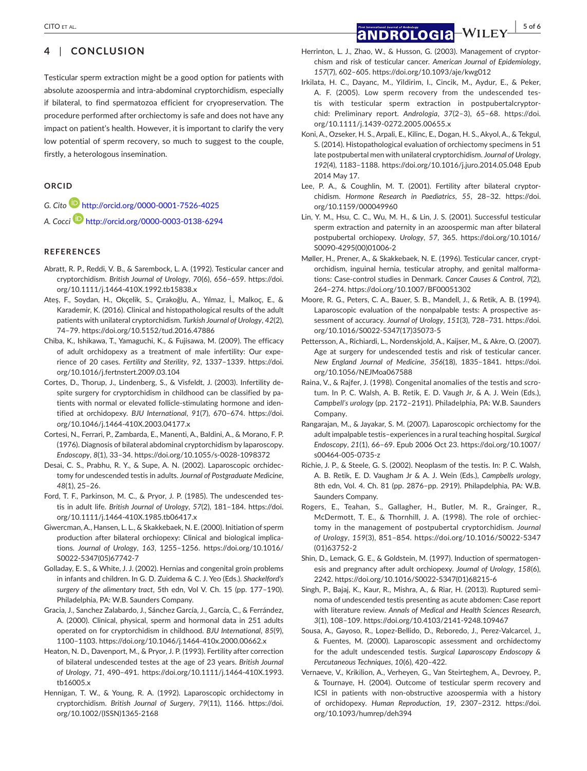## **4** | **CONCLUSION**

Testicular sperm extraction might be a good option for patients with absolute azoospermia and intra-abdominal cryptorchidism, especially if bilateral, to find spermatozoa efficient for cryopreservation. The procedure performed after orchiectomy is safe and does not have any impact on patient's health. However, it is important to clarify the very low potential of sperm recovery, so much to suggest to the couple, firstly, a heterologous insemination.

#### **ORCID**

*G. Cito* <http://orcid.org/0000-0001-7526-4025>

*A. Cocci* <http://orcid.org/0000-0003-0138-6294>

### **REFERENCES**

- Abratt, R. P., Reddi, V. B., & Sarembock, L. A. (1992). Testicular cancer and cryptorchidism. *British Journal of Urology*, *70*(6), 656–659. [https://doi.](https://doi.org/10.1111/j.1464-410X.1992.tb15838.x) [org/10.1111/j.1464-410X.1992.tb15838.x](https://doi.org/10.1111/j.1464-410X.1992.tb15838.x)
- Ateş, F., Soydan, H., Okçelik, S., Çırakoğlu, A., Yılmaz, İ., Malkoç, E., & Karademir, K. (2016). Clinical and histopathological results of the adult patients with unilateral cryptorchidism. *Turkish Journal of Urology*, *42*(2), 74–79.<https://doi.org/10.5152/tud.2016.47886>
- Chiba, K., Ishikawa, T., Yamaguchi, K., & Fujisawa, M. (2009). The efficacy of adult orchidopexy as a treatment of male infertility: Our experience of 20 cases. *Fertility and Sterility*, *92*, 1337–1339. [https://doi.](https://doi.org/10.1016/j.fertnstert.2009.03.104) [org/10.1016/j.fertnstert.2009.03.104](https://doi.org/10.1016/j.fertnstert.2009.03.104)
- Cortes, D., Thorup, J., Lindenberg, S., & Visfeldt, J. (2003). Infertility despite surgery for cryptorchidism in childhood can be classified by patients with normal or elevated follicle-stimulating hormone and identified at orchidopexy. *BJU International*, *91*(7), 670–674. [https://doi.](https://doi.org/10.1046/j.1464-410X.2003.04177.x) [org/10.1046/j.1464-410X.2003.04177.x](https://doi.org/10.1046/j.1464-410X.2003.04177.x)
- Cortesi, N., Ferrari, P., Zambarda, E., Manenti, A., Baldini, A., & Morano, F. P. (1976). Diagnosis of bilateral abdominal cryptorchidism by laparoscopy. *Endoscopy*, *8*(1), 33–34. <https://doi.org/10.1055/s-0028-1098372>
- Desai, C. S., Prabhu, R. Y., & Supe, A. N. (2002). Laparoscopic orchidectomy for undescended testis in adults. *Journal of Postgraduate Medicine*, *48*(1), 25–26.
- Ford, T. F., Parkinson, M. C., & Pryor, J. P. (1985). The undescended testis in adult life. *British Journal of Urology*, *57*(2), 181–184. [https://doi.](https://doi.org/10.1111/j.1464-410X.1985.tb06417.x) [org/10.1111/j.1464-410X.1985.tb06417.x](https://doi.org/10.1111/j.1464-410X.1985.tb06417.x)
- Giwercman, A., Hansen, L. L., & Skakkebaek, N. E. (2000). Initiation of sperm production after bilateral orchiopexy: Clinical and biological implications. *Journal of Urology*, *163*, 1255–1256. [https://doi.org/10.1016/](https://doi.org/10.1016/S0022-5347(05)67742-7) [S0022-5347\(05\)67742-7](https://doi.org/10.1016/S0022-5347(05)67742-7)
- Golladay, E. S., & White, J. J. (2002). Hernias and congenital groin problems in infants and children. In G. D. Zuidema & C. J. Yeo (Eds.). *Shackelford's surgery of the alimentary tract*, 5th edn, Vol V. Ch. 15 (pp. 177–190). Philadelphia, PA: W.B. Saunders Company.
- Gracia, J., Sanchez Zalabardo, J., Sánchez García, J., García, C., & Ferrández, A. (2000). Clinical, physical, sperm and hormonal data in 251 adults operated on for cryptorchidism in childhood. *BJU International*, *85*(9), 1100–1103. <https://doi.org/10.1046/j.1464-410x.2000.00662.x>
- Heaton, N. D., Davenport, M., & Pryor, J. P. (1993). Fertility after correction of bilateral undescended testes at the age of 23 years. *British Journal of Urology*, *71*, 490–491. [https://doi.org/10.1111/j.1464-410X.1993.](https://doi.org/10.1111/j.1464-410X.1993.tb16005.x) [tb16005.x](https://doi.org/10.1111/j.1464-410X.1993.tb16005.x)
- Hennigan, T. W., & Young, R. A. (1992). Laparoscopic orchidectomy in cryptorchidism. *British Journal of Surgery*, *79*(11), 1166. [https://doi.](https://doi.org/10.1002/(ISSN)1365-2168) [org/10.1002/\(ISSN\)1365-2168](https://doi.org/10.1002/(ISSN)1365-2168)
- Herrinton, L. J., Zhao, W., & Husson, G. (2003). Management of cryptorchism and risk of testicular cancer. *American Journal of Epidemiology*, *157*(7), 602–605. <https://doi.org/10.1093/aje/kwg012>
- Irkilata, H. C., Dayanc, M., Yildirim, I., Cincik, M., Aydur, E., & Peker, A. F. (2005). Low sperm recovery from the undescended testis with testicular sperm extraction in postpubertalcryptorchid: Preliminary report. *Andrologia*, *37*(2–3), 65–68. [https://doi.](https://doi.org/10.1111/j.1439-0272.2005.00655.x) [org/10.1111/j.1439-0272.2005.00655.x](https://doi.org/10.1111/j.1439-0272.2005.00655.x)
- Koni, A., Ozseker, H. S., Arpali, E., Kilinc, E., Dogan, H. S., Akyol, A., & Tekgul, S. (2014). Histopathological evaluation of orchiectomy specimens in 51 late postpubertal men with unilateral cryptorchidism. *Journal of Urology*, *192*(4), 1183–1188. <https://doi.org/10.1016/j.juro.2014.05.048>Epub 2014 May 17.
- Lee, P. A., & Coughlin, M. T. (2001). Fertility after bilateral cryptorchidism. *Hormone Research in Paediatrics*, *55*, 28–32. [https://doi.](https://doi.org/10.1159/000049960) [org/10.1159/000049960](https://doi.org/10.1159/000049960)
- Lin, Y. M., Hsu, C. C., Wu, M. H., & Lin, J. S. (2001). Successful testicular sperm extraction and paternity in an azoospermic man after bilateral postpubertal orchiopexy. *Urology*, *57*, 365. [https://doi.org/10.1016/](https://doi.org/10.1016/S0090-4295(00)01006-2) [S0090-4295\(00\)01006-2](https://doi.org/10.1016/S0090-4295(00)01006-2)
- Møller, H., Prener, A., & Skakkebaek, N. E. (1996). Testicular cancer, cryptorchidism, inguinal hernia, testicular atrophy, and genital malformations: Case-control studies in Denmark. *Cancer Causes & Control*, *7*(2), 264–274. <https://doi.org/10.1007/BF00051302>
- Moore, R. G., Peters, C. A., Bauer, S. B., Mandell, J., & Retik, A. B. (1994). Laparoscopic evaluation of the nonpalpable tests: A prospective assessment of accuracy. *Journal of Urology*, *151*(3), 728–731. [https://doi.](https://doi.org/10.1016/S0022-5347(17)35073-5) [org/10.1016/S0022-5347\(17\)35073-5](https://doi.org/10.1016/S0022-5347(17)35073-5)
- Pettersson, A., Richiardi, L., Nordenskjold, A., Kaijser, M., & Akre, O. (2007). Age at surgery for undescended testis and risk of testicular cancer. *New England Journal of Medicine*, *356*(18), 1835–1841. [https://doi.](https://doi.org/10.1056/NEJMoa067588) [org/10.1056/NEJMoa067588](https://doi.org/10.1056/NEJMoa067588)
- Raina, V., & Rajfer, J. (1998). Congenital anomalies of the testis and scrotum. In P. C. Walsh, A. B. Retik, E. D. Vaugh Jr, & A. J. Wein (Eds.), *Campbell's urology* (pp. 2172–2191). Philadelphia, PA: W.B. Saunders Company.
- Rangarajan, M., & Jayakar, S. M. (2007). Laparoscopic orchiectomy for the adult impalpable testis–experiences in a rural teaching hospital. *Surgical Endoscopy*, *21*(1), 66–69. Epub 2006 Oct 23. [https://doi.org/10.1007/](https://doi.org/10.1007/s00464-005-0735-z) [s00464-005-0735-z](https://doi.org/10.1007/s00464-005-0735-z)
- Richie, J. P., & Steele, G. S. (2002). Neoplasm of the testis. In: P. C. Walsh, A. B. Retik, E. D. Vaugham Jr & A. J. Wein (Eds.), *Campbells urology*, 8th edn, Vol. 4. Ch. 81 (pp. 2876–pp. 2919). Philapdelphia, PA: W.B. Saunders Company.
- Rogers, E., Teahan, S., Gallagher, H., Butler, M. R., Grainger, R., McDermott, T. E., & Thornhill, J. A. (1998). The role of orchiectomy in the management of postpubertal cryptorchidism. *Journal of Urology*, *159*(3), 851–854. [https://doi.org/10.1016/S0022-5347](https://doi.org/10.1016/S0022-5347(01)63752-2) [\(01\)63752-2](https://doi.org/10.1016/S0022-5347(01)63752-2)
- Shin, D., Lemack, G. E., & Goldstein, M. (1997). Induction of spermatogenesis and pregnancy after adult orchiopexy. *Journal of Urology*, *158*(6), 2242. [https://doi.org/10.1016/S0022-5347\(01\)68215-6](https://doi.org/10.1016/S0022-5347(01)68215-6)
- Singh, P., Bajaj, K., Kaur, R., Mishra, A., & Riar, H. (2013). Ruptured seminoma of undescended testis presenting as acute abdomen: Case report with literature review. *Annals of Medical and Health Sciences Research*, *3*(1), 108–109.<https://doi.org/10.4103/2141-9248.109467>
- Sousa, A., Gayoso, R., Lopez-Bellido, D., Reboredo, J., Perez-Valcarcel, J., & Fuentes, M. (2000). Laparoscopic assessment and orchidectomy for the adult undescended testis. *Surgical Laparoscopy Endoscopy & Percutaneous Techniques*, *10*(6), 420–422.
- Vernaeve, V., Krikilion, A., Verheyen, G., Van Steirteghem, A., Devroey, P., & Tournaye, H. (2004). Outcome of testicular sperm recovery and ICSI in patients with non-obstructive azoospermia with a history of orchidopexy. *Human Reproduction*, *19*, 2307–2312. [https://doi.](https://doi.org/10.1093/humrep/deh394) [org/10.1093/humrep/deh394](https://doi.org/10.1093/humrep/deh394)